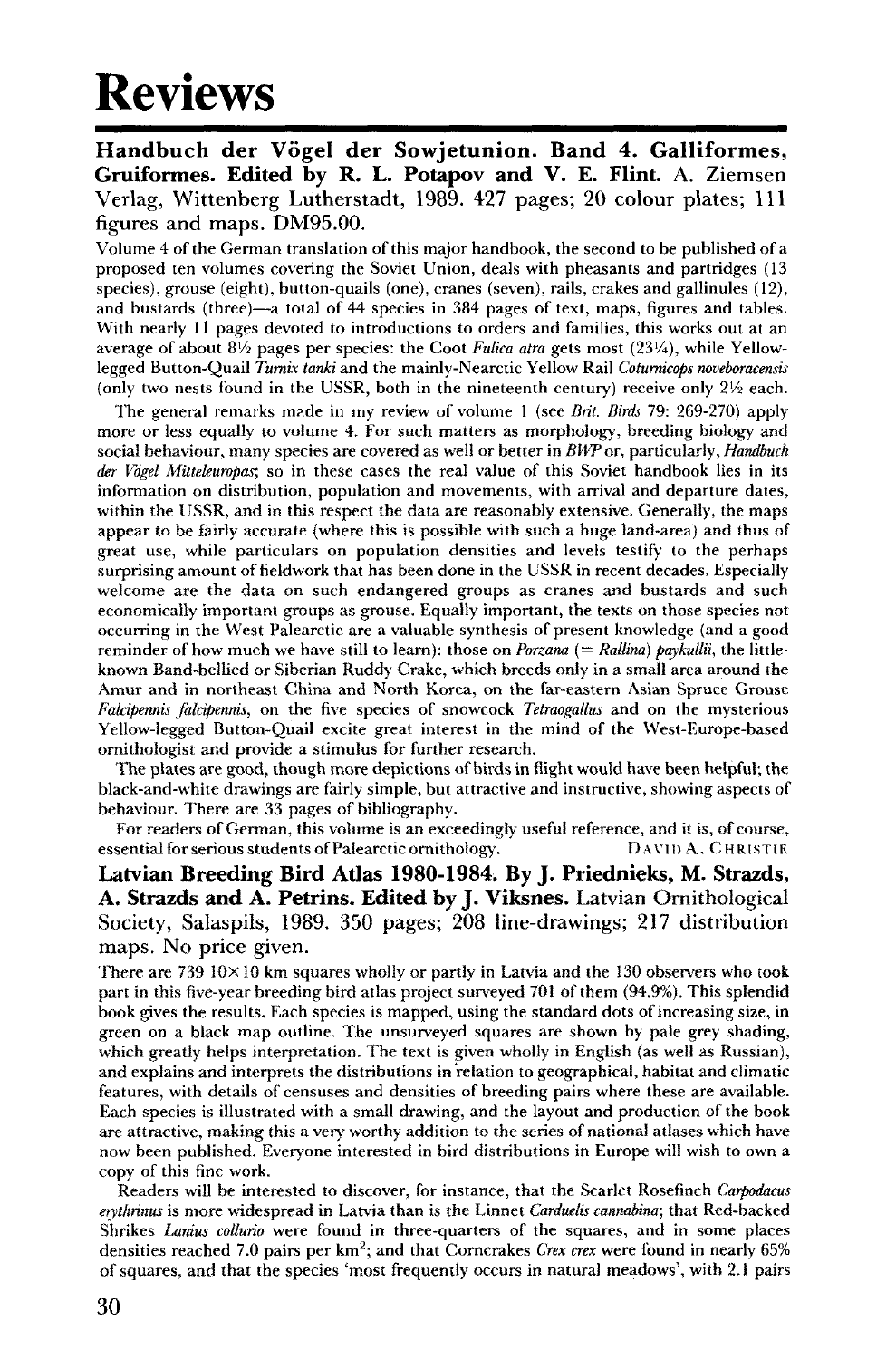## Reviews

**Handbuch der Vogel der Sowjetunion. Band 4. Galliformes, Gruiformes. Edited by R. L. Potapov and V. E. Flint.** A. Ziemsen Verlag, Wittenberg Lutherstadt, 1989. 427 pages; 20 colour plates; 111 figures and maps. DM95.00.

Volume 4 of the German translation of this major handbook, the second to be published of a proposed ten volumes covering the Soviet Union, deals with pheasants and partridges (13 species), grouse (eight), button-quails (one), cranes (seven), rails, crakes and gallinules (12), and bustards (three)—a total of 44 species in 384 pages of text, maps, figures and tables. With nearly 11 pages devoted to introductions to orders and families, this works out at an average of about  $8\frac{1}{2}$  pages per species: the Coot *Fulica atra* gets most  $(23\frac{1}{4})$ , while Yellowlegged Button-Quail *Turnix tanki* and the mainly-Nearctic Yellow Rail *Coturnicops noveboracensis*  (only two nests found in the USSR, both in the nineteenth century) receive only  $2\frac{1}{2}$  each.

The general remarks m?de in my review of volume 1 (see *Brit. Birds* 79: 269-270) apply more or less equally to volume 4. For such matters as morphology, breeding biology and social behaviour, many species are covered as well or better in *BWP or,* particularly, *Handbuch der Vogel Mittekuropas;* so in these cases the real value of this Soviet handbook lies in its information on distribution, population and movements, with arrival and departure dates, within the USSR, and in this respect the data are reasonably extensive. Generally, the maps appear to be fairly accurate (where this is possible with such a huge land-area) and thus of great use, while particulars on population densities and levels testify to the perhaps surprising amount of fieldwork that has been done in the USSR in recent decades. Especially welcome are the data on such endangered groups as cranes and bustards and such economically important groups as grouse. Equally important, the texts on those species not occurring in the West Palearctic are a valuable synthesis of present knowledge (and a good reminder of how much we have still to learn): those on *Porzana* (= Rallina) paykullii, the littleknown Band-bellied or Siberian Ruddy Crake, which breeds only in a small area around the Amur and in northeast China and North Korea, on the far-eastern Asian Spruce Grouse *Falcipennis falcipennis,* on the five species of snowcock *Tetraogallus* and on the mysterious Yellow-legged Button-Quail excite great interest in the mind of the West-Europe-based ornithologist and provide a stimulus for further research.

The plates are good, though more depictions of birds in flight would have been helpful; the black-and-white drawings are fairly simple, but attractive and instructive, showing aspects of behaviour. There are 33 pages of bibliography.

For readers of German, this volume is an exceedingly useful reference, and it is, of course, essential for serious students of Palearctic ornithology. DAVID A. CHRISTIE

**Latvian Breeding Bird Adas 1980-1984. By J. Priednieks, M. Strazds, A. Strazds and A. Petrins. Edited by J. Viksnes.** Latvian Ornithological Society, Salaspils, 1989. 350 pages; 208 line-drawings; 217 distribution maps. No price given.

There are  $739\ 10\times10$  km squares wholly or partly in Latvia and the 130 observers who took part in this five-year breeding bird atlas project surveyed 701 of them (94.9%). This splendid book gives the results. Each species is mapped, using the standard dots of increasing size, in green on a black map outline. The unsurveyed squares are shown by pale grey shading, which greatly helps interpretation. The text is given wholly in English (as well as Russian), and explains and interprets the distributions in relation to geographical, habitat and climatic features, with details of censuses and densities of breeding pairs where these are available. Each species is illustrated with a small drawing, and the layout and production of the book are attractive, making this a very worthy addition to the series of national atlases which have now been published. Everyone interested in bird distributions in Europe will wish to own a copy of this fine work.

Readers will be interested to discover, for instance, that the Scarlet Rosefinch *Carpodacus erythrinm* is more widespread in Latvia than is the Linnet *Carduetis cannabina;* that Red-backed Shrikes *Lanius collurio* were found in three-quarters of the squares, and in some places densities reached 7.0 pairs per km<sup>2</sup> ; and that Corncrakes *Crex crex* were found in nearly 65% of squares, and that the species 'most frequently occurs in natural meadows', with 2.1 pairs